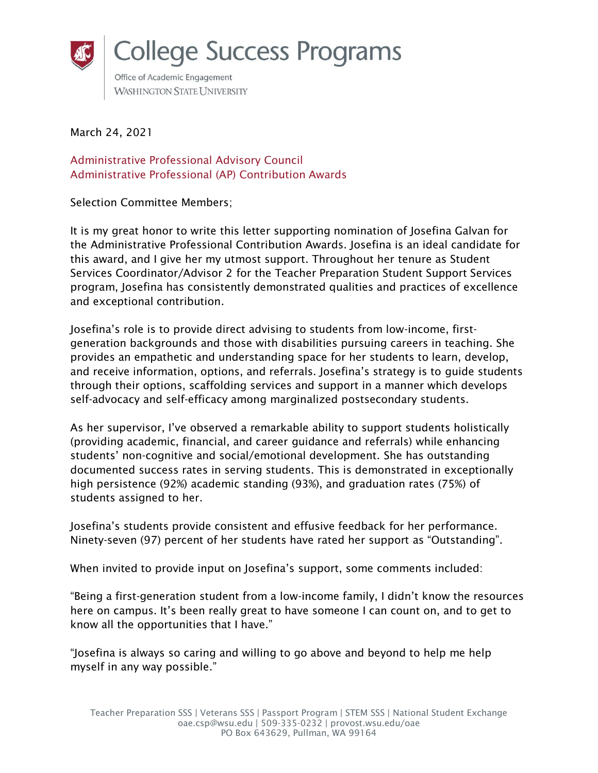

March 24, 2021

Administrative Professional Advisory Council Administrative Professional (AP) Contribution Awards

Selection Committee Members;

It is my great honor to write this letter supporting nomination of Josefina Galvan for the Administrative Professional Contribution Awards. Josefina is an ideal candidate for this award, and I give her my utmost support. Throughout her tenure as Student Services Coordinator/Advisor 2 for the Teacher Preparation Student Support Services program, Josefina has consistently demonstrated qualities and practices of excellence and exceptional contribution.

Josefina's role is to provide direct advising to students from low-income, firstgeneration backgrounds and those with disabilities pursuing careers in teaching. She provides an empathetic and understanding space for her students to learn, develop, and receive information, options, and referrals. Josefina's strategy is to guide students through their options, scaffolding services and support in a manner which develops self-advocacy and self-efficacy among marginalized postsecondary students.

As her supervisor, I've observed a remarkable ability to support students holistically (providing academic, financial, and career guidance and referrals) while enhancing students' non-cognitive and social/emotional development. She has outstanding documented success rates in serving students. This is demonstrated in exceptionally high persistence (92%) academic standing (93%), and graduation rates (75%) of students assigned to her.

Josefina's students provide consistent and effusive feedback for her performance. Ninety-seven (97) percent of her students have rated her support as "Outstanding".

When invited to provide input on Josefina's support, some comments included:

"Being a first-generation student from a low-income family, I didn't know the resources here on campus. It's been really great to have someone I can count on, and to get to know all the opportunities that I have."

"Josefina is always so caring and willing to go above and beyond to help me help myself in any way possible."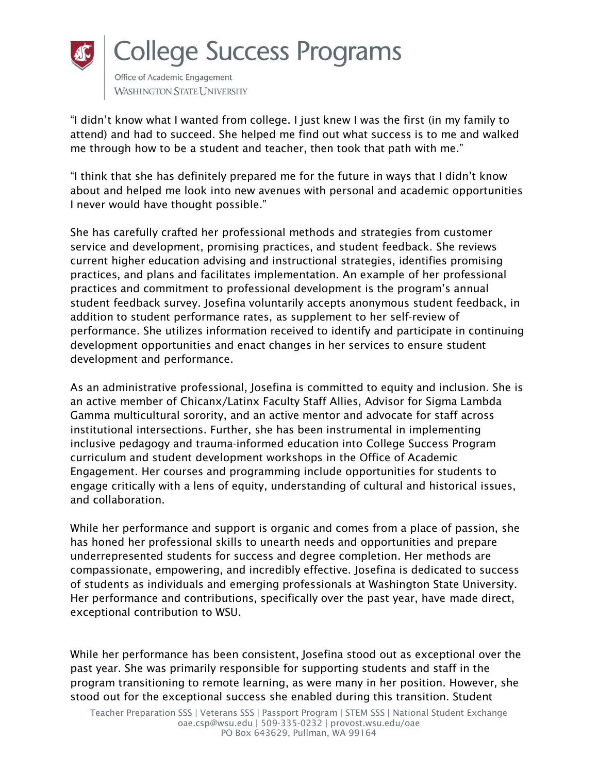

**WASHINGTON STATE UNIVERSITY** 

"I didn't know what I wanted from college. I just knew I was the first (in my family to attend) and had to succeed. She helped me find out what success is to me and walked me through how to be a student and teacher, then took that path with me."

"I think that she has definitely prepared me for the future in ways that I didn't know about and helped me look into new avenues with personal and academic opportunities I never would have thought possible."

She has carefully crafted her professional methods and strategies from customer service and development, promising practices, and student feedback. She reviews current higher education advising and instructional strategies, identifies promising practices, and plans and facilitates implementation. An example of her professional practices and commitment to professional development is the program's annual student feedback survey. Josefina voluntarily accepts anonymous student feedback, in addition to student performance rates, as supplement to her self-review of performance. She utilizes information received to identify and participate in continuing development opportunities and enact changes in her services to ensure student development and performance.

As an administrative professional, Josefina is committed to equity and inclusion. She is an active member of Chicanx/Latinx Faculty Staff Allies, Advisor for Sigma Lambda Gamma multicultural sorority, and an active mentor and advocate for staff across institutional intersections. Further, she has been instrumental in implementing inclusive pedagogy and trauma-informed education into College Success Program curriculum and student development workshops in the Office of Academic Engagement. Her courses and programming include opportunities for students to engage critically with a lens of equity, understanding of cultural and historical issues, and collaboration.

While her performance and support is organic and comes from a place of passion, she has honed her professional skills to unearth needs and opportunities and prepare underrepresented students for success and degree completion. Her methods are compassionate, empowering, and incredibly effective. Josefina is dedicated to success of students as individuals and emerging professionals at Washington State University. Her performance and contributions, specifically over the past year, have made direct, exceptional contribution to WSU.

While her performance has been consistent, Josefina stood out as exceptional over the past year. She was primarily responsible for supporting students and staff in the program transitioning to remote learning, as were many in her position. However, she stood out for the exceptional success she enabled during this transition. Student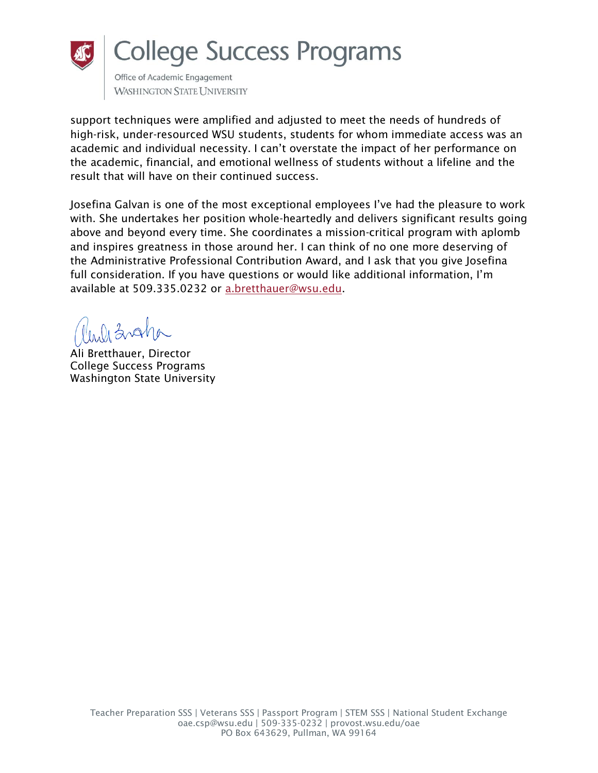

## **College Success Programs**

Office of Academic Engagement **WASHINGTON STATE UNIVERSITY** 

support techniques were amplified and adjusted to meet the needs of hundreds of high-risk, under-resourced WSU students, students for whom immediate access was an academic and individual necessity. I can't overstate the impact of her performance on the academic, financial, and emotional wellness of students without a lifeline and the result that will have on their continued success.

Josefina Galvan is one of the most exceptional employees I've had the pleasure to work with. She undertakes her position whole-heartedly and delivers significant results going above and beyond every time. She coordinates a mission-critical program with aplomb and inspires greatness in those around her. I can think of no one more deserving of the Administrative Professional Contribution Award, and I ask that you give Josefina full consideration. If you have questions or would like additional information, I'm available at 509.335.0232 or [a.bretthauer@wsu.edu.](mailto:a.bretthauer@wsu.edu)

inli Zvaha

Ali Bretthauer, Director College Success Programs Washington State University